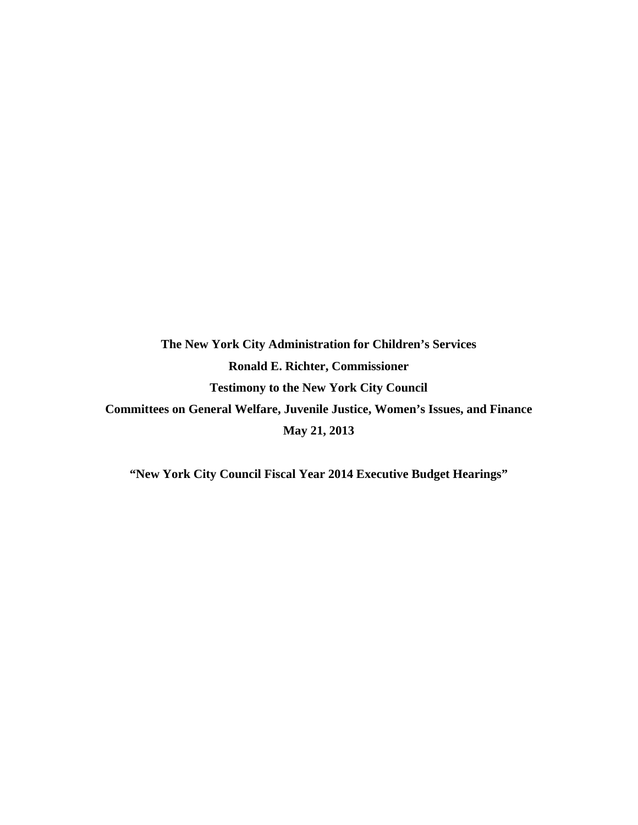**The New York City Administration for Children's Services Ronald E. Richter, Commissioner Testimony to the New York City Council Committees on General Welfare, Juvenile Justice, Women's Issues, and Finance May 21, 2013** 

**"New York City Council Fiscal Year 2014 Executive Budget Hearings"**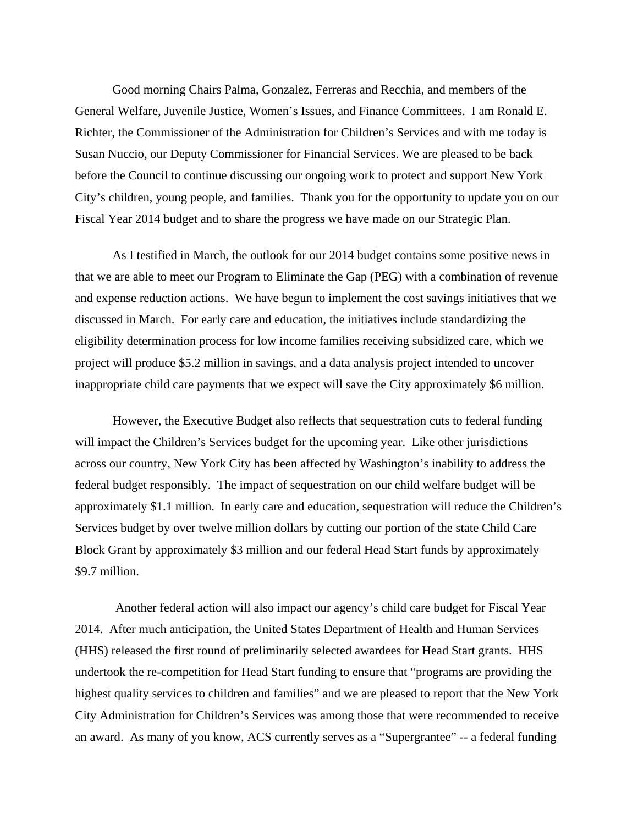Good morning Chairs Palma, Gonzalez, Ferreras and Recchia, and members of the General Welfare, Juvenile Justice, Women's Issues, and Finance Committees. I am Ronald E. Richter, the Commissioner of the Administration for Children's Services and with me today is Susan Nuccio, our Deputy Commissioner for Financial Services. We are pleased to be back before the Council to continue discussing our ongoing work to protect and support New York City's children, young people, and families. Thank you for the opportunity to update you on our Fiscal Year 2014 budget and to share the progress we have made on our Strategic Plan.

As I testified in March, the outlook for our 2014 budget contains some positive news in that we are able to meet our Program to Eliminate the Gap (PEG) with a combination of revenue and expense reduction actions. We have begun to implement the cost savings initiatives that we discussed in March. For early care and education, the initiatives include standardizing the eligibility determination process for low income families receiving subsidized care, which we project will produce \$5.2 million in savings, and a data analysis project intended to uncover inappropriate child care payments that we expect will save the City approximately \$6 million.

However, the Executive Budget also reflects that sequestration cuts to federal funding will impact the Children's Services budget for the upcoming year. Like other jurisdictions across our country, New York City has been affected by Washington's inability to address the federal budget responsibly. The impact of sequestration on our child welfare budget will be approximately \$1.1 million. In early care and education, sequestration will reduce the Children's Services budget by over twelve million dollars by cutting our portion of the state Child Care Block Grant by approximately \$3 million and our federal Head Start funds by approximately \$9.7 million.

 Another federal action will also impact our agency's child care budget for Fiscal Year 2014. After much anticipation, the United States Department of Health and Human Services (HHS) released the first round of preliminarily selected awardees for Head Start grants. HHS undertook the re-competition for Head Start funding to ensure that "programs are providing the highest quality services to children and families" and we are pleased to report that the New York City Administration for Children's Services was among those that were recommended to receive an award. As many of you know, ACS currently serves as a "Supergrantee" -- a federal funding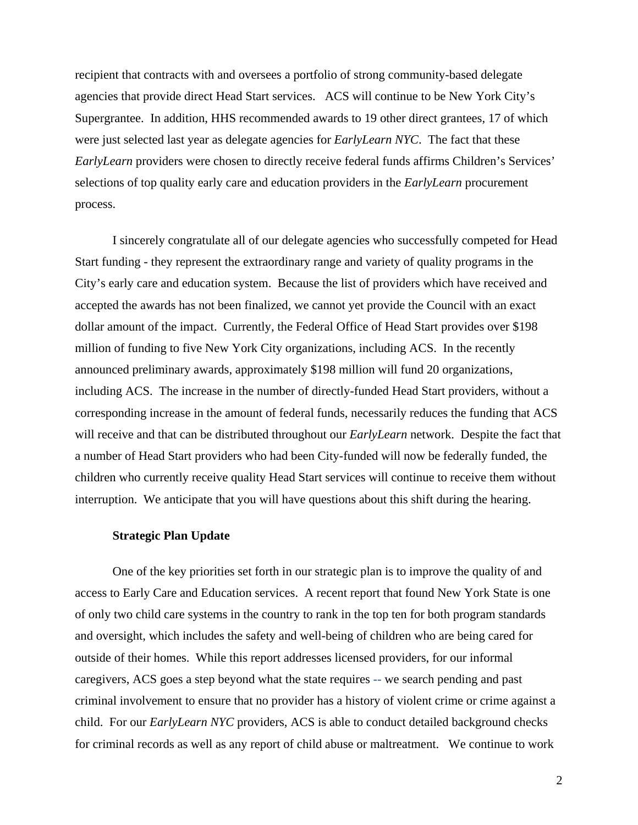recipient that contracts with and oversees a portfolio of strong community-based delegate agencies that provide direct Head Start services. ACS will continue to be New York City's Supergrantee. In addition, HHS recommended awards to 19 other direct grantees, 17 of which were just selected last year as delegate agencies for *EarlyLearn NYC*. The fact that these *EarlyLearn* providers were chosen to directly receive federal funds affirms Children's Services' selections of top quality early care and education providers in the *EarlyLearn* procurement process.

I sincerely congratulate all of our delegate agencies who successfully competed for Head Start funding - they represent the extraordinary range and variety of quality programs in the City's early care and education system. Because the list of providers which have received and accepted the awards has not been finalized, we cannot yet provide the Council with an exact dollar amount of the impact. Currently, the Federal Office of Head Start provides over \$198 million of funding to five New York City organizations, including ACS. In the recently announced preliminary awards, approximately \$198 million will fund 20 organizations, including ACS. The increase in the number of directly-funded Head Start providers, without a corresponding increase in the amount of federal funds, necessarily reduces the funding that ACS will receive and that can be distributed throughout our *EarlyLearn* network. Despite the fact that a number of Head Start providers who had been City-funded will now be federally funded, the children who currently receive quality Head Start services will continue to receive them without interruption. We anticipate that you will have questions about this shift during the hearing.

### **Strategic Plan Update**

One of the key priorities set forth in our strategic plan is to improve the quality of and access to Early Care and Education services. A recent report that found New York State is one of only two child care systems in the country to rank in the top ten for both program standards and oversight, which includes the safety and well-being of children who are being cared for outside of their homes. While this report addresses licensed providers, for our informal caregivers, ACS goes a step beyond what the state requires -- we search pending and past criminal involvement to ensure that no provider has a history of violent crime or crime against a child. For our *EarlyLearn NYC* providers, ACS is able to conduct detailed background checks for criminal records as well as any report of child abuse or maltreatment. We continue to work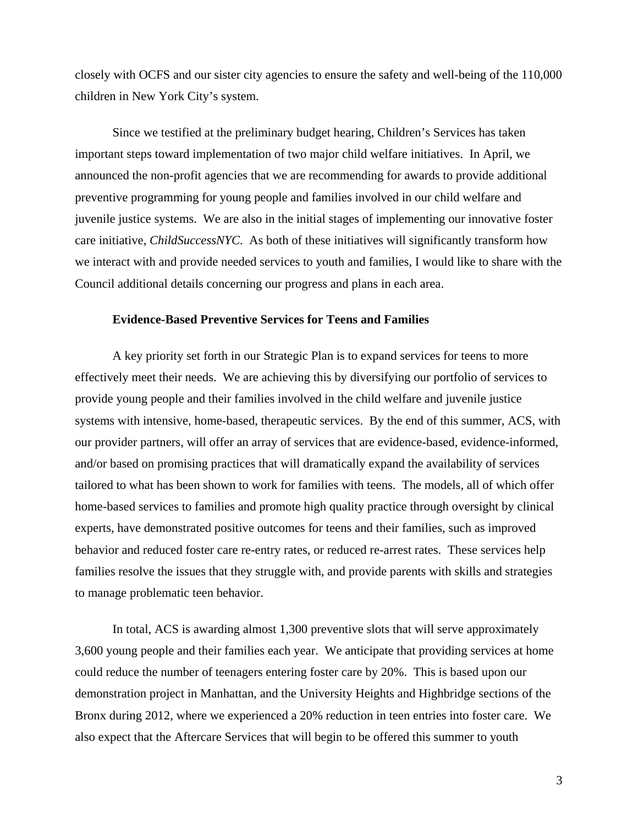closely with OCFS and our sister city agencies to ensure the safety and well-being of the 110,000 children in New York City's system.

Since we testified at the preliminary budget hearing, Children's Services has taken important steps toward implementation of two major child welfare initiatives. In April, we announced the non-profit agencies that we are recommending for awards to provide additional preventive programming for young people and families involved in our child welfare and juvenile justice systems. We are also in the initial stages of implementing our innovative foster care initiative, *ChildSuccessNYC*. As both of these initiatives will significantly transform how we interact with and provide needed services to youth and families, I would like to share with the Council additional details concerning our progress and plans in each area.

## **Evidence-Based Preventive Services for Teens and Families**

A key priority set forth in our Strategic Plan is to expand services for teens to more effectively meet their needs. We are achieving this by diversifying our portfolio of services to provide young people and their families involved in the child welfare and juvenile justice systems with intensive, home-based, therapeutic services. By the end of this summer, ACS, with our provider partners, will offer an array of services that are evidence-based, evidence-informed, and/or based on promising practices that will dramatically expand the availability of services tailored to what has been shown to work for families with teens. The models, all of which offer home-based services to families and promote high quality practice through oversight by clinical experts, have demonstrated positive outcomes for teens and their families, such as improved behavior and reduced foster care re-entry rates, or reduced re-arrest rates. These services help families resolve the issues that they struggle with, and provide parents with skills and strategies to manage problematic teen behavior.

In total, ACS is awarding almost 1,300 preventive slots that will serve approximately 3,600 young people and their families each year. We anticipate that providing services at home could reduce the number of teenagers entering foster care by 20%. This is based upon our demonstration project in Manhattan, and the University Heights and Highbridge sections of the Bronx during 2012, where we experienced a 20% reduction in teen entries into foster care. We also expect that the Aftercare Services that will begin to be offered this summer to youth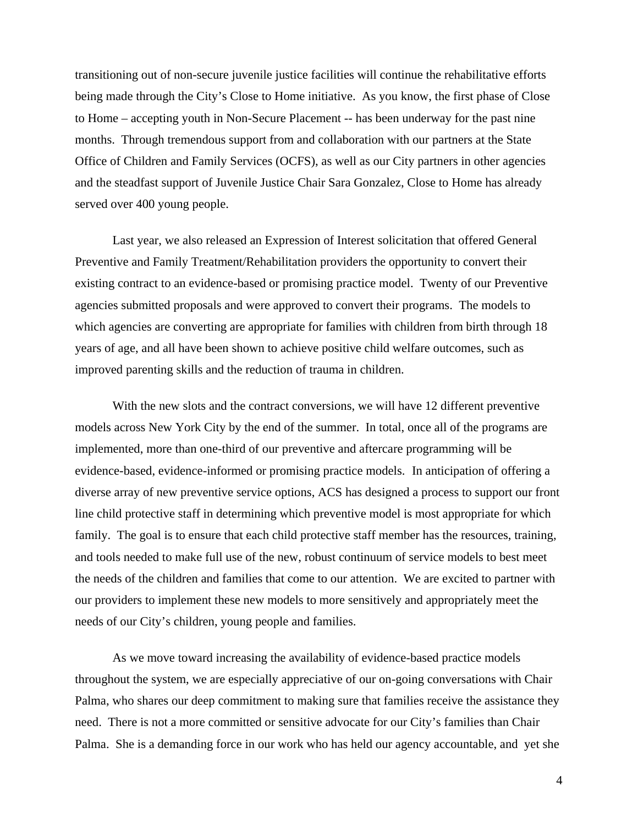transitioning out of non-secure juvenile justice facilities will continue the rehabilitative efforts being made through the City's Close to Home initiative. As you know, the first phase of Close to Home – accepting youth in Non-Secure Placement -- has been underway for the past nine months. Through tremendous support from and collaboration with our partners at the State Office of Children and Family Services (OCFS), as well as our City partners in other agencies and the steadfast support of Juvenile Justice Chair Sara Gonzalez, Close to Home has already served over 400 young people.

Last year, we also released an Expression of Interest solicitation that offered General Preventive and Family Treatment/Rehabilitation providers the opportunity to convert their existing contract to an evidence-based or promising practice model. Twenty of our Preventive agencies submitted proposals and were approved to convert their programs. The models to which agencies are converting are appropriate for families with children from birth through 18 years of age, and all have been shown to achieve positive child welfare outcomes, such as improved parenting skills and the reduction of trauma in children.

With the new slots and the contract conversions, we will have 12 different preventive models across New York City by the end of the summer.In total, once all of the programs are implemented, more than one-third of our preventive and aftercare programming will be evidence-based, evidence-informed or promising practice models.In anticipation of offering a diverse array of new preventive service options, ACS has designed a process to support our front line child protective staff in determining which preventive model is most appropriate for which family. The goal is to ensure that each child protective staff member has the resources, training, and tools needed to make full use of the new, robust continuum of service models to best meet the needs of the children and families that come to our attention. We are excited to partner with our providers to implement these new models to more sensitively and appropriately meet the needs of our City's children, young people and families.

As we move toward increasing the availability of evidence-based practice models throughout the system, we are especially appreciative of our on-going conversations with Chair Palma, who shares our deep commitment to making sure that families receive the assistance they need. There is not a more committed or sensitive advocate for our City's families than Chair Palma. She is a demanding force in our work who has held our agency accountable, and yet she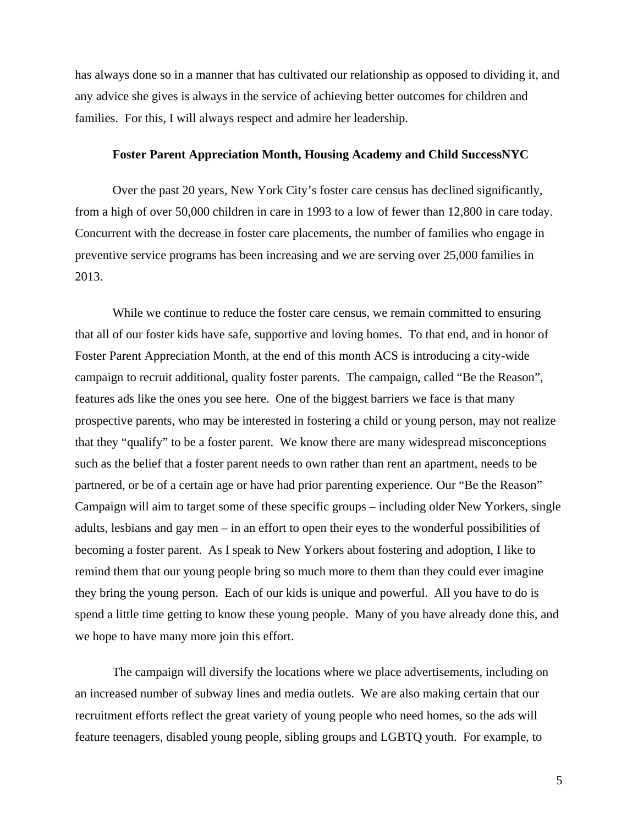has always done so in a manner that has cultivated our relationship as opposed to dividing it, and any advice she gives is always in the service of achieving better outcomes for children and families. For this, I will always respect and admire her leadership.

## **Foster Parent Appreciation Month, Housing Academy and Child SuccessNYC**

Over the past 20 years, New York City's foster care census has declined significantly, from a high of over 50,000 children in care in 1993 to a low of fewer than 12,800 in care today. Concurrent with the decrease in foster care placements, the number of families who engage in preventive service programs has been increasing and we are serving over 25,000 families in 2013.

While we continue to reduce the foster care census, we remain committed to ensuring that all of our foster kids have safe, supportive and loving homes. To that end, and in honor of Foster Parent Appreciation Month, at the end of this month ACS is introducing a city-wide campaign to recruit additional, quality foster parents. The campaign, called "Be the Reason", features ads like the ones you see here. One of the biggest barriers we face is that many prospective parents, who may be interested in fostering a child or young person, may not realize that they "qualify" to be a foster parent. We know there are many widespread misconceptions such as the belief that a foster parent needs to own rather than rent an apartment, needs to be partnered, or be of a certain age or have had prior parenting experience. Our "Be the Reason" Campaign will aim to target some of these specific groups – including older New Yorkers, single adults, lesbians and gay men – in an effort to open their eyes to the wonderful possibilities of becoming a foster parent. As I speak to New Yorkers about fostering and adoption, I like to remind them that our young people bring so much more to them than they could ever imagine they bring the young person. Each of our kids is unique and powerful. All you have to do is spend a little time getting to know these young people. Many of you have already done this, and we hope to have many more join this effort.

The campaign will diversify the locations where we place advertisements, including on an increased number of subway lines and media outlets. We are also making certain that our recruitment efforts reflect the great variety of young people who need homes, so the ads will feature teenagers, disabled young people, sibling groups and LGBTQ youth. For example, to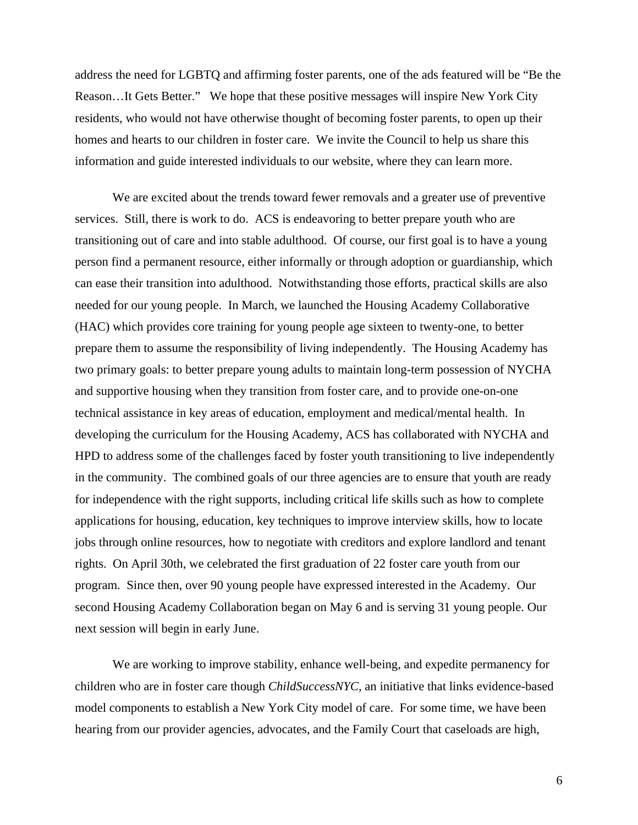address the need for LGBTQ and affirming foster parents, one of the ads featured will be "Be the Reason…It Gets Better." We hope that these positive messages will inspire New York City residents, who would not have otherwise thought of becoming foster parents, to open up their homes and hearts to our children in foster care. We invite the Council to help us share this information and guide interested individuals to our website, where they can learn more.

We are excited about the trends toward fewer removals and a greater use of preventive services. Still, there is work to do. ACS is endeavoring to better prepare youth who are transitioning out of care and into stable adulthood. Of course, our first goal is to have a young person find a permanent resource, either informally or through adoption or guardianship, which can ease their transition into adulthood. Notwithstanding those efforts, practical skills are also needed for our young people. In March, we launched the Housing Academy Collaborative (HAC) which provides core training for young people age sixteen to twenty-one, to better prepare them to assume the responsibility of living independently. The Housing Academy has two primary goals: to better prepare young adults to maintain long-term possession of NYCHA and supportive housing when they transition from foster care, and to provide one-on-one technical assistance in key areas of education, employment and medical/mental health. In developing the curriculum for the Housing Academy, ACS has collaborated with NYCHA and HPD to address some of the challenges faced by foster youth transitioning to live independently in the community. The combined goals of our three agencies are to ensure that youth are ready for independence with the right supports, including critical life skills such as how to complete applications for housing, education, key techniques to improve interview skills, how to locate jobs through online resources, how to negotiate with creditors and explore landlord and tenant rights. On April 30th, we celebrated the first graduation of 22 foster care youth from our program. Since then, over 90 young people have expressed interested in the Academy. Our second Housing Academy Collaboration began on May 6 and is serving 31 young people. Our next session will begin in early June.

We are working to improve stability, enhance well-being, and expedite permanency for children who are in foster care though *ChildSuccessNYC*, an initiative that links evidence-based model components to establish a New York City model of care. For some time, we have been hearing from our provider agencies, advocates, and the Family Court that caseloads are high,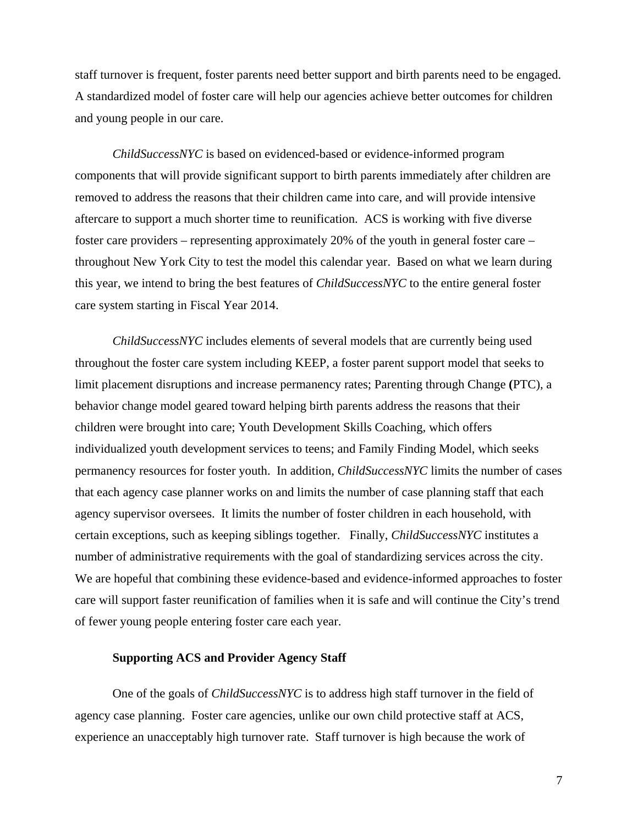staff turnover is frequent, foster parents need better support and birth parents need to be engaged. A standardized model of foster care will help our agencies achieve better outcomes for children and young people in our care.

*ChildSuccessNYC* is based on evidenced-based or evidence-informed program components that will provide significant support to birth parents immediately after children are removed to address the reasons that their children came into care, and will provide intensive aftercare to support a much shorter time to reunification. ACS is working with five diverse foster care providers – representing approximately 20% of the youth in general foster care – throughout New York City to test the model this calendar year. Based on what we learn during this year, we intend to bring the best features of *ChildSuccessNYC* to the entire general foster care system starting in Fiscal Year 2014.

*ChildSuccessNYC* includes elements of several models that are currently being used throughout the foster care system including KEEP, a foster parent support model that seeks to limit placement disruptions and increase permanency rates; Parenting through Change **(**PTC), a behavior change model geared toward helping birth parents address the reasons that their children were brought into care; Youth Development Skills Coaching, which offers individualized youth development services to teens; and Family Finding Model, which seeks permanency resources for foster youth. In addition, *ChildSuccessNYC* limits the number of cases that each agency case planner works on and limits the number of case planning staff that each agency supervisor oversees. It limits the number of foster children in each household, with certain exceptions, such as keeping siblings together. Finally, *ChildSuccessNYC* institutes a number of administrative requirements with the goal of standardizing services across the city. We are hopeful that combining these evidence-based and evidence-informed approaches to foster care will support faster reunification of families when it is safe and will continue the City's trend of fewer young people entering foster care each year.

## **Supporting ACS and Provider Agency Staff**

One of the goals of *ChildSuccessNYC* is to address high staff turnover in the field of agency case planning. Foster care agencies, unlike our own child protective staff at ACS, experience an unacceptably high turnover rate. Staff turnover is high because the work of